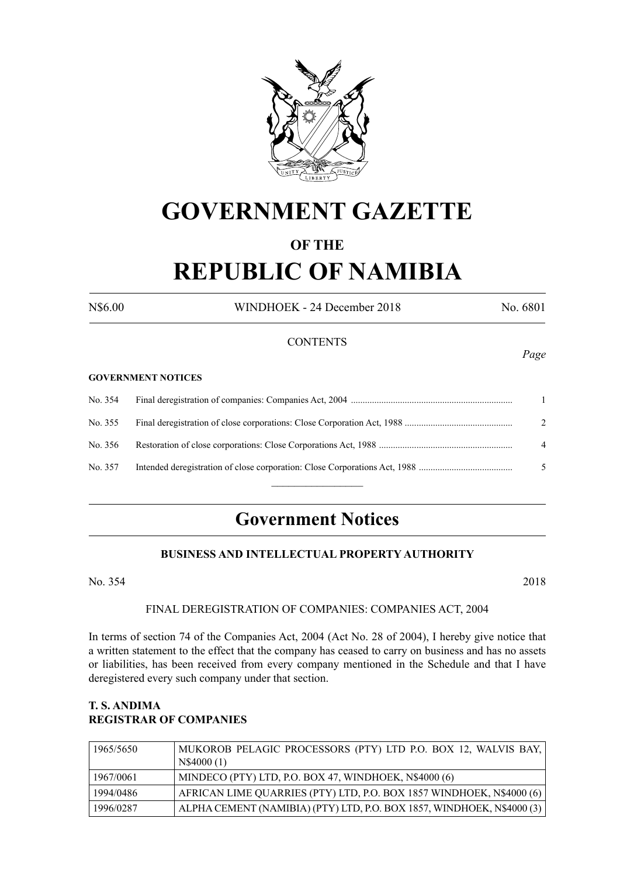

# **GOVERNMENT GAZETTE**

# **OF THE**

# **REPUBLIC OF NAMIBIA**

N\$6.00 WINDHOEK - 24 December 2018 No. 6801

*Page*

## **CONTENTS**

#### **GOVERNMENT NOTICES**

| No. 354 |                |
|---------|----------------|
| No. 355 | 2              |
| No. 356 | $\overline{4}$ |
| No. 357 | .5             |
|         |                |

# **Government Notices**

# **BUSINESS AND INTELLECTUAL PROPERTY AUTHORITY**

No. 354 2018

## FINAL DEREGISTRATION OF COMPANIES: COMPANIES ACT, 2004

In terms of section 74 of the Companies Act, 2004 (Act No. 28 of 2004), I hereby give notice that a written statement to the effect that the company has ceased to carry on business and has no assets or liabilities, has been received from every company mentioned in the Schedule and that I have deregistered every such company under that section.

#### **T. S. ANDIMA REGISTRAR OF COMPANIES**

| 1965/5650 | MUKOROB PELAGIC PROCESSORS (PTY) LTD P.O. BOX 12, WALVIS BAY,<br>N\$4000(1) |
|-----------|-----------------------------------------------------------------------------|
| 1967/0061 | MINDECO (PTY) LTD, P.O. BOX 47, WINDHOEK, N\$4000 (6)                       |
| 1994/0486 | AFRICAN LIME QUARRIES (PTY) LTD, P.O. BOX 1857 WINDHOEK, N\$4000 (6)        |
| 1996/0287 | ALPHA CEMENT (NAMIBIA) (PTY) LTD, P.O. BOX 1857, WINDHOEK, N\$4000 (3)      |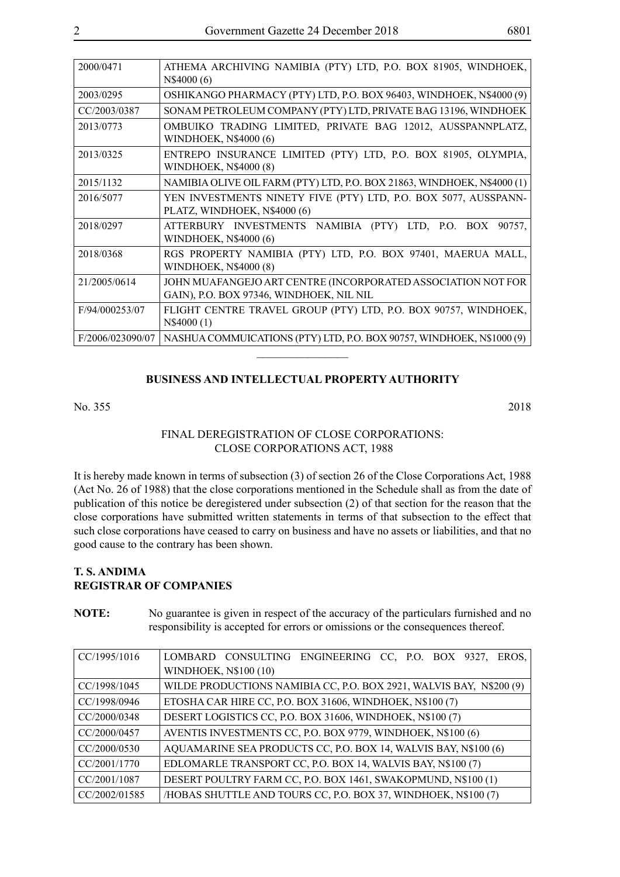| 2000/0471        | ATHEMA ARCHIVING NAMIBIA (PTY) LTD, P.O. BOX 81905, WINDHOEK,<br>N\$4000 (6)                             |
|------------------|----------------------------------------------------------------------------------------------------------|
| 2003/0295        | OSHIKANGO PHARMACY (PTY) LTD, P.O. BOX 96403, WINDHOEK, N\$4000 (9)                                      |
| CC/2003/0387     | SONAM PETROLEUM COMPANY (PTY) LTD, PRIVATE BAG 13196, WINDHOEK                                           |
| 2013/0773        | OMBUIKO TRADING LIMITED, PRIVATE BAG 12012, AUSSPANNPLATZ,<br>WINDHOEK, N\$4000 (6)                      |
| 2013/0325        | ENTREPO INSURANCE LIMITED (PTY) LTD, P.O. BOX 81905, OLYMPIA,<br><b>WINDHOEK, N\$4000 (8)</b>            |
| 2015/1132        | NAMIBIA OLIVE OIL FARM (PTY) LTD, P.O. BOX 21863, WINDHOEK, N\$4000 (1)                                  |
| 2016/5077        | YEN INVESTMENTS NINETY FIVE (PTY) LTD, P.O. BOX 5077, AUSSPANN-<br>PLATZ, WINDHOEK, N\$4000 (6)          |
| 2018/0297        | ATTERBURY INVESTMENTS NAMIBIA (PTY) LTD, P.O. BOX 90757,<br>WINDHOEK, N\$4000 (6)                        |
| 2018/0368        | RGS PROPERTY NAMIBIA (PTY) LTD, P.O. BOX 97401, MAERUA MALL,<br><b>WINDHOEK, N\$4000 (8)</b>             |
| 21/2005/0614     | JOHN MUAFANGEJO ART CENTRE (INCORPORATED ASSOCIATION NOT FOR<br>GAIN), P.O. BOX 97346, WINDHOEK, NIL NIL |
| F/94/000253/07   | FLIGHT CENTRE TRAVEL GROUP (PTY) LTD, P.O. BOX 90757, WINDHOEK,<br>N\$4000(1)                            |
| F/2006/023090/07 | NASHUA COMMUICATIONS (PTY) LTD, P.O. BOX 90757, WINDHOEK, N\$1000 (9)                                    |
|                  |                                                                                                          |

#### **BUSINESS AND INTELLECTUAL PROPERTY AUTHORITY**

#### No. 355 2018

#### FINAL DEREGISTRATION OF CLOSE CORPORATIONS: CLOSE CORPORATIONS ACT, 1988

It is hereby made known in terms of subsection (3) of section 26 of the Close Corporations Act, 1988 (Act No. 26 of 1988) that the close corporations mentioned in the Schedule shall as from the date of publication of this notice be deregistered under subsection (2) of that section for the reason that the close corporations have submitted written statements in terms of that subsection to the effect that such close corporations have ceased to carry on business and have no assets or liabilities, and that no good cause to the contrary has been shown.

# **T. S. ANDIMA REGISTRAR OF COMPANIES**

**NOTE:** No guarantee is given in respect of the accuracy of the particulars furnished and no responsibility is accepted for errors or omissions or the consequences thereof.

| CC/1995/1016  | LOMBARD CONSULTING ENGINEERING CC, P.O. BOX 9327, EROS,             |
|---------------|---------------------------------------------------------------------|
|               | WINDHOEK, N\$100 (10)                                               |
| CC/1998/1045  | WILDE PRODUCTIONS NAMIBIA CC, P.O. BOX 2921, WALVIS BAY, N\$200 (9) |
| CC/1998/0946  | ETOSHA CAR HIRE CC, P.O. BOX 31606, WINDHOEK, N\$100 (7)            |
| CC/2000/0348  | DESERT LOGISTICS CC, P.O. BOX 31606, WINDHOEK, N\$100 (7)           |
| CC/2000/0457  | AVENTIS INVESTMENTS CC, P.O. BOX 9779, WINDHOEK, N\$100 (6)         |
| CC/2000/0530  | AQUAMARINE SEA PRODUCTS CC, P.O. BOX 14, WALVIS BAY, N\$100 (6)     |
| CC/2001/1770  | EDLOMARLE TRANSPORT CC, P.O. BOX 14, WALVIS BAY, N\$100 (7)         |
| CC/2001/1087  | DESERT POULTRY FARM CC, P.O. BOX 1461, SWAKOPMUND, N\$100 (1)       |
| CC/2002/01585 | /HOBAS SHUTTLE AND TOURS CC, P.O. BOX 37, WINDHOEK, N\$100 (7)      |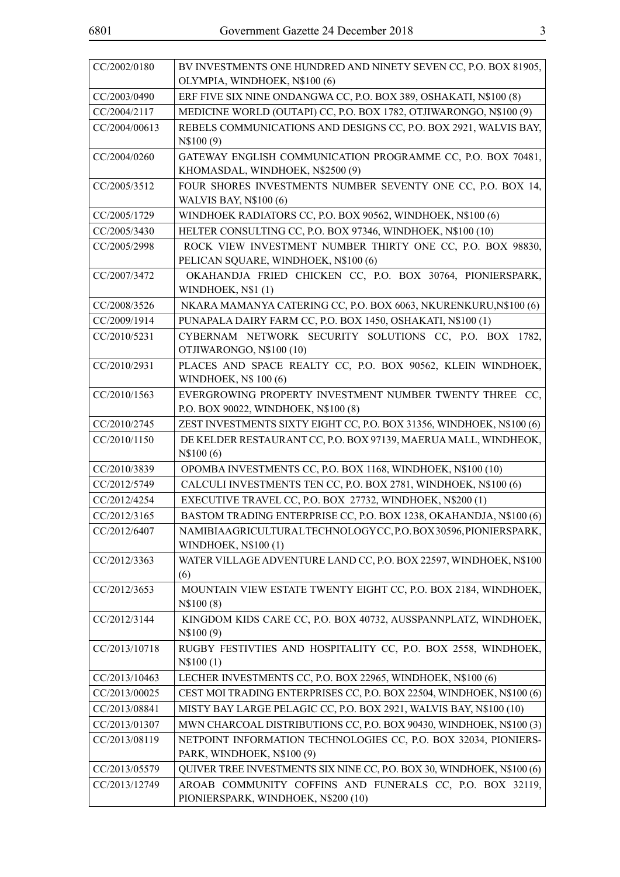| ۰.<br>۰. |    |        |  |
|----------|----|--------|--|
|          |    | ٢      |  |
| ×        |    |        |  |
|          |    |        |  |
|          |    |        |  |
|          | I  | I<br>I |  |
|          | ۰. |        |  |

| CC/2002/0180  | BV INVESTMENTS ONE HUNDRED AND NINETY SEVEN CC, P.O. BOX 81905,                                    |
|---------------|----------------------------------------------------------------------------------------------------|
|               | OLYMPIA, WINDHOEK, N\$100 (6)                                                                      |
| CC/2003/0490  | ERF FIVE SIX NINE ONDANGWA CC, P.O. BOX 389, OSHAKATI, N\$100 (8)                                  |
| CC/2004/2117  | MEDICINE WORLD (OUTAPI) CC, P.O. BOX 1782, OTJIWARONGO, N\$100 (9)                                 |
| CC/2004/00613 | REBELS COMMUNICATIONS AND DESIGNS CC, P.O. BOX 2921, WALVIS BAY,<br>N\\$100(9)                     |
| CC/2004/0260  | GATEWAY ENGLISH COMMUNICATION PROGRAMME CC, P.O. BOX 70481,<br>KHOMASDAL, WINDHOEK, N\$2500 (9)    |
| CC/2005/3512  | FOUR SHORES INVESTMENTS NUMBER SEVENTY ONE CC, P.O. BOX 14,<br><b>WALVIS BAY, N\$100 (6)</b>       |
| CC/2005/1729  | WINDHOEK RADIATORS CC, P.O. BOX 90562, WINDHOEK, N\$100 (6)                                        |
| CC/2005/3430  | HELTER CONSULTING CC, P.O. BOX 97346, WINDHOEK, N\$100 (10)                                        |
| CC/2005/2998  | ROCK VIEW INVESTMENT NUMBER THIRTY ONE CC, P.O. BOX 98830,<br>PELICAN SQUARE, WINDHOEK, N\$100 (6) |
| CC/2007/3472  | OKAHANDJA FRIED CHICKEN CC, P.O. BOX 30764, PIONIERSPARK,<br>WINDHOEK, N\$1(1)                     |
| CC/2008/3526  | NKARA MAMANYA CATERING CC, P.O. BOX 6063, NKURENKURU, N\$100 (6)                                   |
| CC/2009/1914  | PUNAPALA DAIRY FARM CC, P.O. BOX 1450, OSHAKATI, N\$100 (1)                                        |
| CC/2010/5231  | CYBERNAM NETWORK SECURITY SOLUTIONS CC, P.O. BOX 1782,<br>OTJIWARONGO, N\$100 (10)                 |
| CC/2010/2931  | PLACES AND SPACE REALTY CC, P.O. BOX 90562, KLEIN WINDHOEK,                                        |
|               | WINDHOEK, N\$ 100 (6)                                                                              |
| CC/2010/1563  | EVERGROWING PROPERTY INVESTMENT NUMBER TWENTY THREE CC,<br>P.O. BOX 90022, WINDHOEK, N\$100 (8)    |
| CC/2010/2745  | ZEST INVESTMENTS SIXTY EIGHT CC, P.O. BOX 31356, WINDHOEK, N\$100 (6)                              |
| CC/2010/1150  | DE KELDER RESTAURANT CC, P.O. BOX 97139, MAERUA MALL, WINDHEOK,<br>N\\$100(6)                      |
| CC/2010/3839  | OPOMBA INVESTMENTS CC, P.O. BOX 1168, WINDHOEK, N\$100 (10)                                        |
| CC/2012/5749  | CALCULI INVESTMENTS TEN CC, P.O. BOX 2781, WINDHOEK, N\$100 (6)                                    |
| CC/2012/4254  | EXECUTIVE TRAVEL CC, P.O. BOX 27732, WINDHOEK, N\$200 (1)                                          |
| CC/2012/3165  | BASTOM TRADING ENTERPRISE CC, P.O. BOX 1238, OKAHANDJA, N\$100 (6)                                 |
| CC/2012/6407  | NAMIBIAAGRICULTURALTECHNOLOGYCC, P.O.BOX 30596, PIONIERSPARK,<br><b>WINDHOEK, N\$100(1)</b>        |
| CC/2012/3363  | WATER VILLAGE ADVENTURE LAND CC, P.O. BOX 22597, WINDHOEK, N\$100<br>(6)                           |
| CC/2012/3653  | MOUNTAIN VIEW ESTATE TWENTY EIGHT CC, P.O. BOX 2184, WINDHOEK,<br>N\$100(8)                        |
| CC/2012/3144  | KINGDOM KIDS CARE CC, P.O. BOX 40732, AUSSPANNPLATZ, WINDHOEK,<br>N\$100(9)                        |
| CC/2013/10718 | RUGBY FESTIVTIES AND HOSPITALITY CC, P.O. BOX 2558, WINDHOEK,<br>N\$100(1)                         |
| CC/2013/10463 | LECHER INVESTMENTS CC, P.O. BOX 22965, WINDHOEK, N\$100 (6)                                        |
| CC/2013/00025 | CEST MOI TRADING ENTERPRISES CC, P.O. BOX 22504, WINDHOEK, N\$100 (6)                              |
| CC/2013/08841 | MISTY BAY LARGE PELAGIC CC, P.O. BOX 2921, WALVIS BAY, N\$100 (10)                                 |
| CC/2013/01307 | MWN CHARCOAL DISTRIBUTIONS CC, P.O. BOX 90430, WINDHOEK, N\$100 (3)                                |
| CC/2013/08119 | NETPOINT INFORMATION TECHNOLOGIES CC, P.O. BOX 32034, PIONIERS-<br>PARK, WINDHOEK, N\$100 (9)      |
| CC/2013/05579 | QUIVER TREE INVESTMENTS SIX NINE CC, P.O. BOX 30, WINDHOEK, N\$100 (6)                             |
| CC/2013/12749 | AROAB COMMUNITY COFFINS AND FUNERALS CC, P.O. BOX 32119,<br>PIONIERSPARK, WINDHOEK, N\$200 (10)    |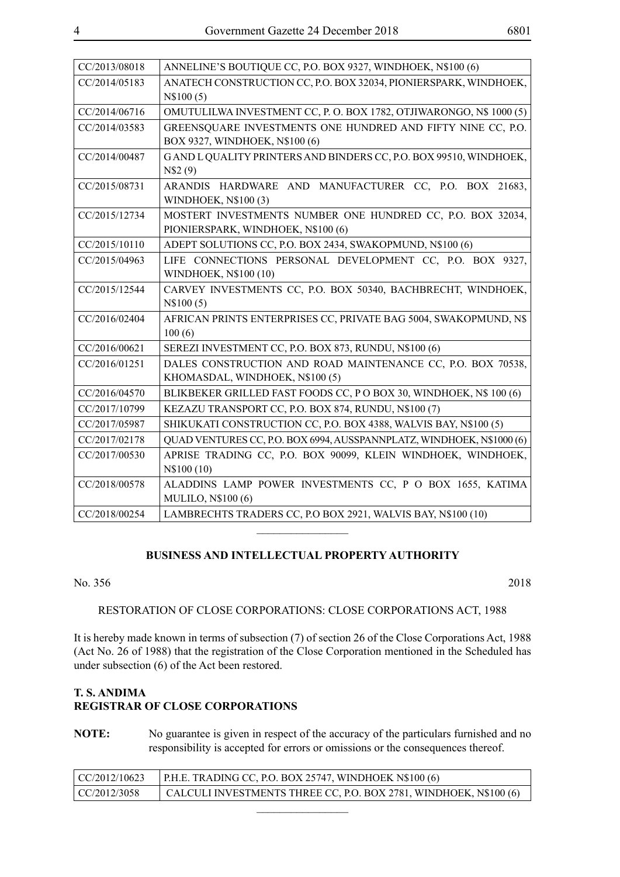| CC/2013/08018 | ANNELINE'S BOUTIQUE CC, P.O. BOX 9327, WINDHOEK, N\$100 (6)           |
|---------------|-----------------------------------------------------------------------|
| CC/2014/05183 | ANATECH CONSTRUCTION CC, P.O. BOX 32034, PIONIERSPARK, WINDHOEK,      |
|               | N\$100(5)                                                             |
| CC/2014/06716 | OMUTULILWA INVESTMENT CC, P.O. BOX 1782, OTJIWARONGO, N\$ 1000 (5)    |
| CC/2014/03583 | GREENSQUARE INVESTMENTS ONE HUNDRED AND FIFTY NINE CC, P.O.           |
|               | BOX 9327, WINDHOEK, N\$100 (6)                                        |
| CC/2014/00487 | GAND L QUALITY PRINTERS AND BINDERS CC, P.O. BOX 99510, WINDHOEK,     |
|               | N\$2(9)                                                               |
| CC/2015/08731 | ARANDIS HARDWARE AND MANUFACTURER CC, P.O. BOX 21683,                 |
|               | WINDHOEK, N\$100 (3)                                                  |
| CC/2015/12734 | MOSTERT INVESTMENTS NUMBER ONE HUNDRED CC, P.O. BOX 32034,            |
|               | PIONIERSPARK, WINDHOEK, N\$100 (6)                                    |
| CC/2015/10110 | ADEPT SOLUTIONS CC, P.O. BOX 2434, SWAKOPMUND, N\$100 (6)             |
| CC/2015/04963 | LIFE CONNECTIONS PERSONAL DEVELOPMENT CC, P.O. BOX 9327,              |
|               | WINDHOEK, N\$100 (10)                                                 |
| CC/2015/12544 | CARVEY INVESTMENTS CC, P.O. BOX 50340, BACHBRECHT, WINDHOEK,          |
|               | N\\$100(5)                                                            |
| CC/2016/02404 | AFRICAN PRINTS ENTERPRISES CC, PRIVATE BAG 5004, SWAKOPMUND, N\$      |
|               | 100(6)                                                                |
| CC/2016/00621 | SEREZI INVESTMENT CC, P.O. BOX 873, RUNDU, N\$100 (6)                 |
| CC/2016/01251 | DALES CONSTRUCTION AND ROAD MAINTENANCE CC, P.O. BOX 70538,           |
|               | KHOMASDAL, WINDHOEK, N\$100 (5)                                       |
| CC/2016/04570 | BLIKBEKER GRILLED FAST FOODS CC, P O BOX 30, WINDHOEK, N\$ 100 (6)    |
| CC/2017/10799 | KEZAZU TRANSPORT CC, P.O. BOX 874, RUNDU, N\$100 (7)                  |
| CC/2017/05987 | SHIKUKATI CONSTRUCTION CC, P.O. BOX 4388, WALVIS BAY, N\$100 (5)      |
| CC/2017/02178 | QUAD VENTURES CC, P.O. BOX 6994, AUSSPANNPLATZ, WINDHOEK, N\$1000 (6) |
| CC/2017/00530 | APRISE TRADING CC, P.O. BOX 90099, KLEIN WINDHOEK, WINDHOEK,          |
|               | N\$100 (10)                                                           |
| CC/2018/00578 | ALADDINS LAMP POWER INVESTMENTS CC, P O BOX 1655, KATIMA              |
|               | <b>MULILO, N\$100 (6)</b>                                             |
| CC/2018/00254 | LAMBRECHTS TRADERS CC, P.O BOX 2921, WALVIS BAY, N\$100 (10)          |

## **BUSINESS AND INTELLECTUAL PROPERTY AUTHORITY**

 $\overline{\phantom{a}}$  , where  $\overline{\phantom{a}}$ 

#### No. 356 2018

#### RESTORATION OF CLOSE CORPORATIONS: CLOSE CORPORATIONS ACT, 1988

It is hereby made known in terms of subsection (7) of section 26 of the Close Corporations Act, 1988 (Act No. 26 of 1988) that the registration of the Close Corporation mentioned in the Scheduled has under subsection (6) of the Act been restored.

# **T. S. ANDIMA REGISTRAR OF CLOSE CORPORATIONS**

**NOTE:** No guarantee is given in respect of the accuracy of the particulars furnished and no responsibility is accepted for errors or omissions or the consequences thereof.

| $\vert$ CC/2012/10623 | P.H.E. TRADING CC, P.O. BOX 25747, WINDHOEK N\$100 $(6)$          |
|-----------------------|-------------------------------------------------------------------|
| $\vert$ CC/2012/3058  | CALCULI INVESTMENTS THREE CC, P.O. BOX 2781, WINDHOEK, N\$100 (6) |
|                       |                                                                   |